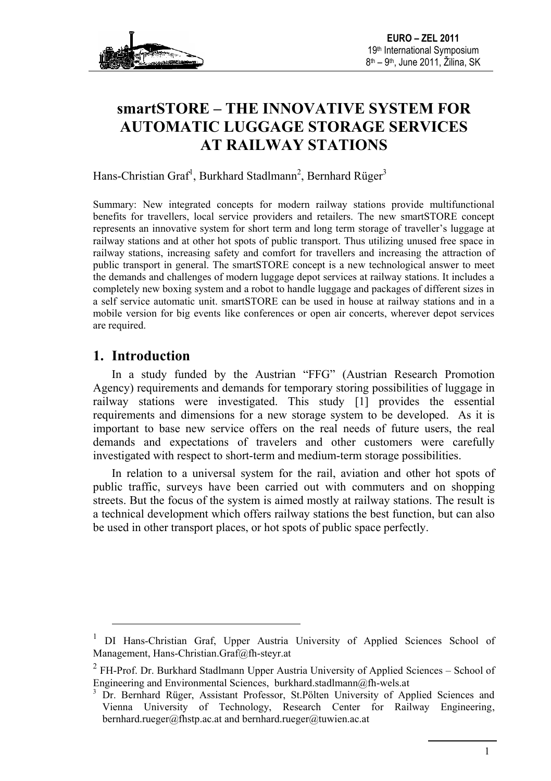

# **smartSTORE – THE INNOVATIVE SYSTEM FOR AUTOMATIC LUGGAGE STORAGE SERVICES AT RAILWAY STATIONS**

Hans-Christian Graf<sup>1</sup>, Burkhard Stadlmann<sup>2</sup>, Bernhard Rüger<sup>3</sup>

Summary: New integrated concepts for modern railway stations provide multifunctional benefits for travellers, local service providers and retailers. The new smartSTORE concept represents an innovative system for short term and long term storage of traveller's luggage at railway stations and at other hot spots of public transport. Thus utilizing unused free space in railway stations, increasing safety and comfort for travellers and increasing the attraction of public transport in general. The smartSTORE concept is a new technological answer to meet the demands and challenges of modern luggage depot services at railway stations. It includes a completely new boxing system and a robot to handle luggage and packages of different sizes in a self service automatic unit. smartSTORE can be used in house at railway stations and in a mobile version for big events like conferences or open air concerts, wherever depot services are required.

### **1. Introduction**

1

In a study funded by the Austrian "FFG" (Austrian Research Promotion Agency) requirements and demands for temporary storing possibilities of luggage in railway stations were investigated. This study [\[1\]](#page-6-0) provides the essential requirements and dimensions for a new storage system to be developed. As it is important to base new service offers on the real needs of future users, the real demands and expectations of travelers and other customers were carefully investigated with respect to short-term and medium-term storage possibilities.

In relation to a universal system for the rail, aviation and other hot spots of public traffic, surveys have been carried out with commuters and on shopping streets. But the focus of the system is aimed mostly at railway stations. The result is a technical development which offers railway stations the best function, but can also be used in other transport places, or hot spots of public space perfectly.

<sup>1</sup> DI Hans-Christian Graf, Upper Austria University of Applied Sciences School of Management, [Hans-Christian.Graf@fh-steyr.at](mailto:Hans-Christian.Graf@fh-steyr.at)

 $2$  FH-Prof. Dr. Burkhard Stadlmann Upper Austria University of Applied Sciences – School of Engineering and Environmental Sciences, [burkhard.stadlmann@fh-wels.at](mailto:burkhard.stadlmann@fh-wels.at)

<sup>&</sup>lt;sup>3</sup> Dr. Bernhard Rüger, Assistant Professor, St.Pölten University of Applied Sciences and Vienna University of Technology, Research Center for Railway Engineering, [bernhard.rueger@fhstp.ac.at](mailto:bernhard.rueger@fhstp.ac.at) an[d bernhard.rueger@tuwien.ac.at](mailto:bernhard.rueger@tuwien.ac.at)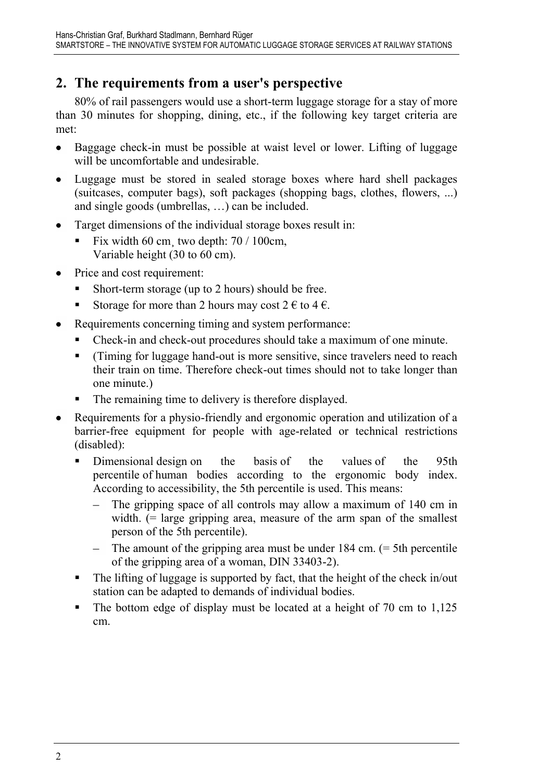## **2. The requirements from a user's perspective**

80% of rail passengers would use a short-term luggage storage for a stay of more than 30 minutes for shopping, dining, etc., if the following key target criteria are met:

- Baggage check-in must be possible at waist level or lower. Lifting of luggage  $\bullet$ will be uncomfortable and undesirable.
- $\bullet$ Luggage must be stored in sealed storage boxes where hard shell packages (suitcases, computer bags), soft packages (shopping bags, clothes, flowers, ...) and single goods (umbrellas, …) can be included.
- Target dimensions of the individual storage boxes result in:  $\bullet$ 
	- Fix width 60 cm two depth:  $70/100$ cm, Variable height (30 to 60 cm).
- Price and cost requirement:
	- Short-term storage (up to 2 hours) should be free.
	- Storage for more than 2 hours may cost  $2 \notin \mathfrak{c}$  at  $4 \notin \mathfrak{c}$ .
- Requirements concerning timing and system performance:
	- Check-in and check-out procedures should take a maximum of one minute.
	- (Timing for luggage hand-out is more sensitive, since travelers need to reach their train on time. Therefore check-out times should not to take longer than one minute.)
	- The remaining time to delivery is therefore displayed.
- Requirements for a physio-friendly and ergonomic operation and utilization of a barrier-free equipment for people with age-related or technical restrictions (disabled):
	- Dimensional design on the basis of the values of the 95th percentile of human bodies according to the ergonomic body index. According to accessibility, the 5th percentile is used. This means:
		- The gripping space of all controls may allow a maximum of 140 cm in width. (= large gripping area, measure of the arm span of the smallest person of the 5th percentile).
		- $\blacksquare$  The amount of the gripping area must be under 184 cm. ( $\equiv$  5th percentile of the gripping area of a woman, DIN 33403-2).
	- The lifting of luggage is supported by fact, that the height of the check in/out station can be adapted to demands of individual bodies.
	- $\blacksquare$  The bottom edge of display must be located at a height of 70 cm to 1,125 cm.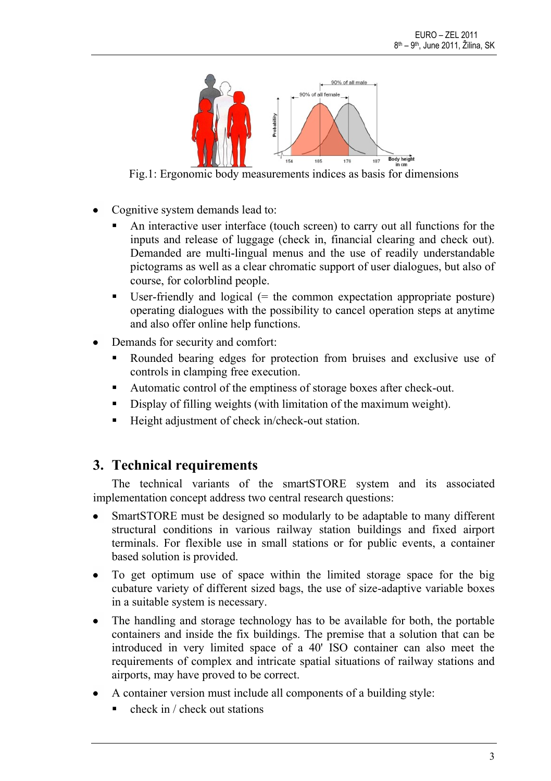

Fig.1: Ergonomic body measurements indices as basis for dimensions

- Cognitive system demands lead to:
	- An interactive user interface (touch screen) to carry out all functions for the inputs and release of luggage (check in, financial clearing and check out). Demanded are multi-lingual menus and the use of readily understandable pictograms as well as a clear chromatic support of user dialogues, but also of course, for colorblind people.
	- User-friendly and logical  $(=$  the common expectation appropriate posture) operating dialogues with the possibility to cancel operation steps at anytime and also offer online help functions.
- Demands for security and comfort:
	- Rounded bearing edges for protection from bruises and exclusive use of controls in clamping free execution.
	- Automatic control of the emptiness of storage boxes after check-out.
	- Display of filling weights (with limitation of the maximum weight).
	- Height adjustment of check in/check-out station.

### **3. Technical requirements**

The technical variants of the smartSTORE system and its associated implementation concept address two central research questions:

- SmartSTORE must be designed so modularly to be adaptable to many different structural conditions in various railway station buildings and fixed airport terminals. For flexible use in small stations or for public events, a container based solution is provided.
- To get optimum use of space within the limited storage space for the big cubature variety of different sized bags, the use of size-adaptive variable boxes in a suitable system is necessary.
- The handling and storage technology has to be available for both, the portable containers and inside the fix buildings. The premise that a solution that can be introduced in very limited space of a 40' ISO container can also meet the requirements of complex and intricate spatial situations of railway stations and airports, may have proved to be correct.
- A container version must include all components of a building style:
	- check in / check out stations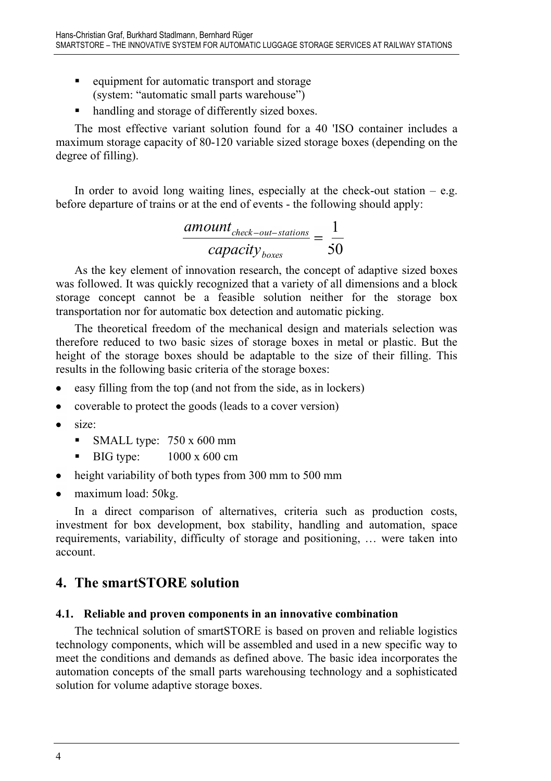- **e** equipment for automatic transport and storage (system: "automatic small parts warehouse")
- handling and storage of differently sized boxes.

The most effective variant solution found for a 40 'ISO container includes a maximum storage capacity of 80-120 variable sized storage boxes (depending on the degree of filling).

In order to avoid long waiting lines, especially at the check-out station  $-$  e.g. before departure of trains or at the end of events - the following should apply:

$$
\frac{amount_{check-out-stations}}{capacity_{boxes}} = \frac{1}{50}
$$

As the key element of innovation research, the concept of adaptive sized boxes was followed. It was quickly recognized that a variety of all dimensions and a block storage concept cannot be a feasible solution neither for the storage box transportation nor for automatic box detection and automatic picking.

The theoretical freedom of the mechanical design and materials selection was therefore reduced to two basic sizes of storage boxes in metal or plastic. But the height of the storage boxes should be adaptable to the size of their filling. This results in the following basic criteria of the storage boxes:

- easy filling from the top (and not from the side, as in lockers)
- coverable to protect the goods (leads to a cover version)
- size:
	- SMALL type:  $750 \times 600$  mm
	- $\blacksquare$  BIG type:  $1000 \times 600 \text{ cm}$
- height variability of both types from 300 mm to 500 mm  $\bullet$
- $\bullet$ maximum load: 50kg.

In a direct comparison of alternatives, criteria such as production costs, investment for box development, box stability, handling and automation, space requirements, variability, difficulty of storage and positioning, … were taken into account.

### **4. The smartSTORE solution**

#### **4.1. Reliable and proven components in an innovative combination**

The technical solution of smartSTORE is based on proven and reliable logistics technology components, which will be assembled and used in a new specific way to meet the conditions and demands as defined above. The basic idea incorporates the automation concepts of the small parts warehousing technology and a sophisticated solution for volume adaptive storage boxes.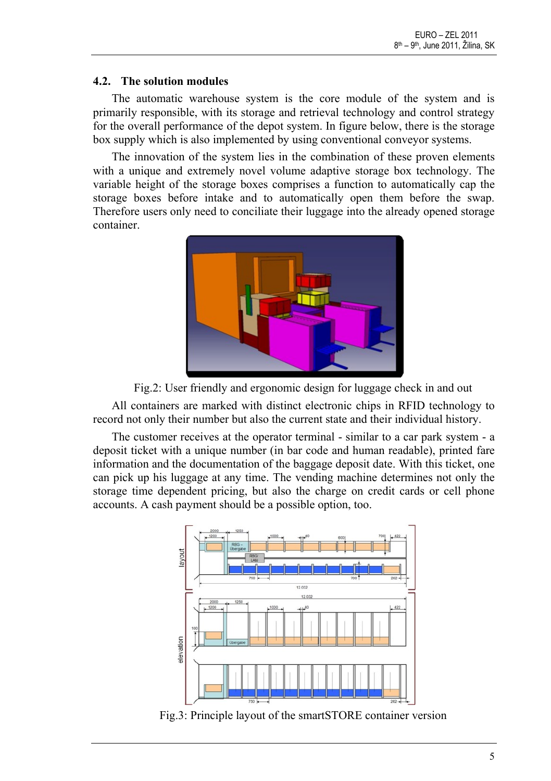#### **4.2. The solution modules**

The automatic warehouse system is the core module of the system and is primarily responsible, with its storage and retrieval technology and control strategy for the overall performance of the depot system. In figure below, there is the storage box supply which is also implemented by using conventional conveyor systems.

The innovation of the system lies in the combination of these proven elements with a unique and extremely novel volume adaptive storage box technology. The variable height of the storage boxes comprises a function to automatically cap the storage boxes before intake and to automatically open them before the swap. Therefore users only need to conciliate their luggage into the already opened storage container.



Fig.2: User friendly and ergonomic design for luggage check in and out

All containers are marked with distinct electronic chips in RFID technology to record not only their number but also the current state and their individual history.

The customer receives at the operator terminal - similar to a car park system - a deposit ticket with a unique number (in bar code and human readable), printed fare information and the documentation of the baggage deposit date. With this ticket, one can pick up his luggage at any time. The vending machine determines not only the storage time dependent pricing, but also the charge on credit cards or cell phone accounts. A cash payment should be a possible option, too.



Fig.3: Principle layout of the smartSTORE container version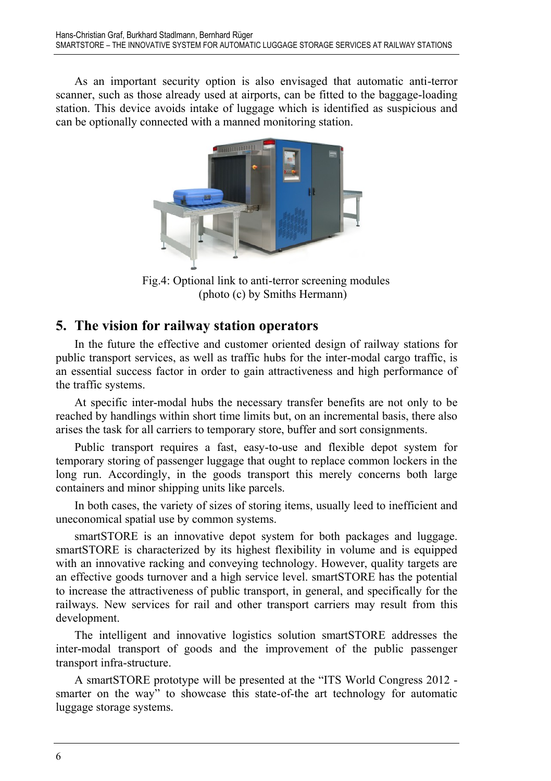As an important security option is also envisaged that automatic anti-terror scanner, such as those already used at airports, can be fitted to the baggage-loading station. This device avoids intake of luggage which is identified as suspicious and can be optionally connected with a manned monitoring station.



Fig.4: Optional link to anti-terror screening modules (photo (c) by Smiths Hermann)

#### **5. The vision for railway station operators**

In the future the effective and customer oriented design of railway stations for public transport services, as well as traffic hubs for the inter-modal cargo traffic, is an essential success factor in order to gain attractiveness and high performance of the traffic systems.

At specific inter-modal hubs the necessary transfer benefits are not only to be reached by handlings within short time limits but, on an incremental basis, there also arises the task for all carriers to temporary store, buffer and sort consignments.

Public transport requires a fast, easy-to-use and flexible depot system for temporary storing of passenger luggage that ought to replace common lockers in the long run. Accordingly, in the goods transport this merely concerns both large containers and minor shipping units like parcels.

In both cases, the variety of sizes of storing items, usually leed to inefficient and uneconomical spatial use by common systems.

smartSTORE is an innovative depot system for both packages and luggage. smartSTORE is characterized by its highest flexibility in volume and is equipped with an innovative racking and conveying technology. However, quality targets are an effective goods turnover and a high service level. smartSTORE has the potential to increase the attractiveness of public transport, in general, and specifically for the railways. New services for rail and other transport carriers may result from this development.

The intelligent and innovative logistics solution smartSTORE addresses the inter-modal transport of goods and the improvement of the public passenger transport infra-structure.

A smartSTORE prototype will be presented at the "ITS World Congress 2012 smarter on the way" to showcase this state-of-the art technology for automatic luggage storage systems.